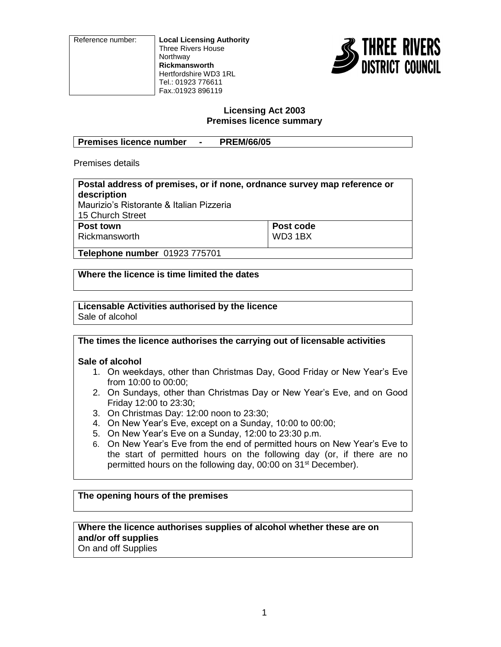Reference number: **Local Licensing Authority** Three Rivers House Northway **Rickmansworth** Hertfordshire WD3 1RL Tel.: 01923 776611 Fax.:01923 896119



#### **Licensing Act 2003 Premises licence summary**

| Premises licence number | <b>PREM/66/05</b> |
|-------------------------|-------------------|

Premises details

| Postal address of premises, or if none, ordnance survey map reference or |           |  |  |
|--------------------------------------------------------------------------|-----------|--|--|
| description                                                              |           |  |  |
| Maurizio's Ristorante & Italian Pizzeria                                 |           |  |  |
| 15 Church Street                                                         |           |  |  |
| Post town                                                                | Post code |  |  |
| Rickmansworth                                                            | WD3 1BX   |  |  |
|                                                                          |           |  |  |
| Telephone number 01923 775701                                            |           |  |  |

**Where the licence is time limited the dates**

#### **Licensable Activities authorised by the licence** Sale of alcohol

**The times the licence authorises the carrying out of licensable activities**

## **Sale of alcohol**

- 1. On weekdays, other than Christmas Day, Good Friday or New Year's Eve from 10:00 to 00:00;
- 2. On Sundays, other than Christmas Day or New Year's Eve, and on Good Friday 12:00 to 23:30;
- 3. On Christmas Day: 12:00 noon to 23:30;
- 4. On New Year's Eve, except on a Sunday, 10:00 to 00:00;
- 5. On New Year's Eve on a Sunday, 12:00 to 23:30 p.m.
- 6. On New Year's Eve from the end of permitted hours on New Year's Eve to the start of permitted hours on the following day (or, if there are no permitted hours on the following day, 00:00 on 31<sup>st</sup> December).

# **The opening hours of the premises**

**Where the licence authorises supplies of alcohol whether these are on and/or off supplies** On and off Supplies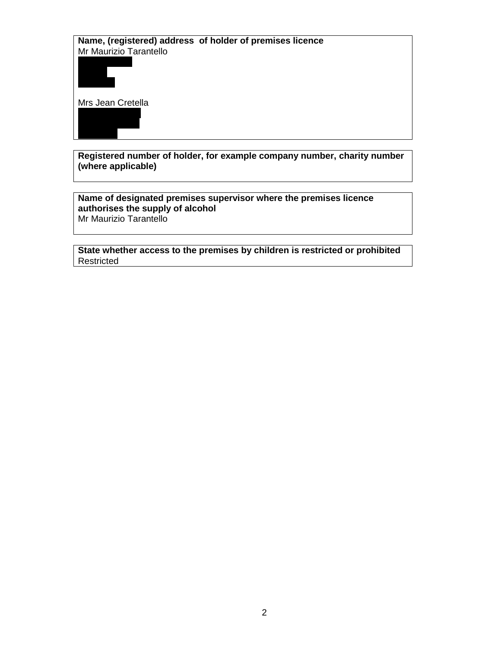**Name, (registered) address of holder of premises licence** Mr Maurizio Tarantello



Mrs Jean Cretella

**Registered number of holder, for example company number, charity number (where applicable)**

**Name of designated premises supervisor where the premises licence authorises the supply of alcohol** Mr Maurizio Tarantello

**State whether access to the premises by children is restricted or prohibited** Restricted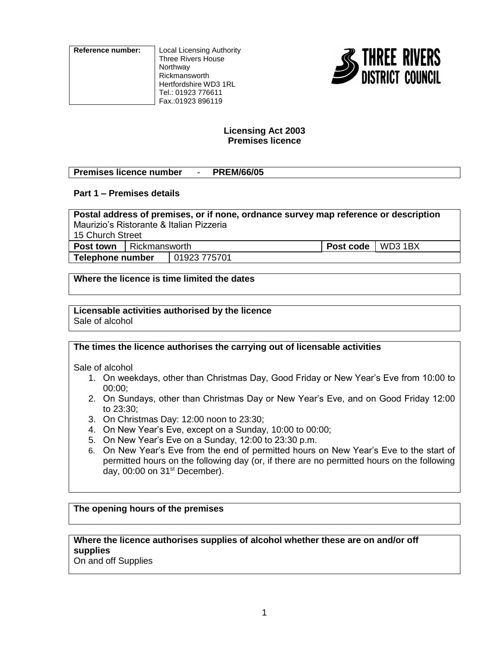**Reference number:** Local Licensing Authority Three Rivers House **Northway** Rickmansworth Hertfordshire WD3 1RL Tel.: 01923 776611 Fax.:01923 896119



## **Licensing Act 2003 Premises licence**

## **Premises licence number** - **PREM/66/05**

## **Part 1 – Premises details**

**Postal address of premises, or if none, ordnance survey map reference or description** Maurizio's Ristorante & Italian Pizzeria 15 Church Street **Post town** Rickmansworth **Post code** WD3 1BX

**Telephone number** | 01923 775701

**Where the licence is time limited the dates**

#### **Licensable activities authorised by the licence** Sale of alcohol

## **The times the licence authorises the carrying out of licensable activities**

Sale of alcohol

- 1. On weekdays, other than Christmas Day, Good Friday or New Year's Eve from 10:00 to 00:00;
- 2. On Sundays, other than Christmas Day or New Year's Eve, and on Good Friday 12:00 to 23:30;
- 3. On Christmas Day: 12:00 noon to 23:30;
- 4. On New Year's Eve, except on a Sunday, 10:00 to 00:00;
- 5. On New Year's Eve on a Sunday, 12:00 to 23:30 p.m.
- 6. On New Year's Eve from the end of permitted hours on New Year's Eve to the start of permitted hours on the following day (or, if there are no permitted hours on the following day, 00:00 on 31<sup>st</sup> December).

## **The opening hours of the premises**

# **Where the licence authorises supplies of alcohol whether these are on and/or off supplies**

On and off Supplies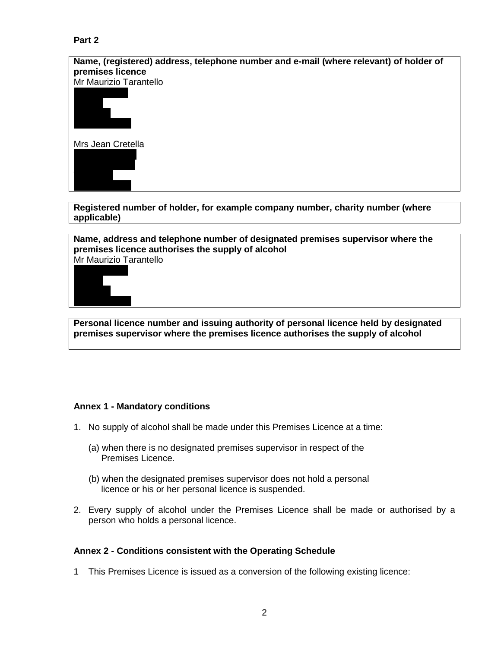# **Part 2**





Mrs Jean Cretella



**Registered number of holder, for example company number, charity number (where applicable)**

**Name, address and telephone number of designated premises supervisor where the premises licence authorises the supply of alcohol** Mr Maurizio Tarantello



**Personal licence number and issuing authority of personal licence held by designated premises supervisor where the premises licence authorises the supply of alcohol**

## **Annex 1 - Mandatory conditions**

- 1. No supply of alcohol shall be made under this Premises Licence at a time:
	- (a) when there is no designated premises supervisor in respect of the Premises Licence.
	- (b) when the designated premises supervisor does not hold a personal licence or his or her personal licence is suspended.
- 2. Every supply of alcohol under the Premises Licence shall be made or authorised by a person who holds a personal licence.

## **Annex 2 - Conditions consistent with the Operating Schedule**

1 This Premises Licence is issued as a conversion of the following existing licence: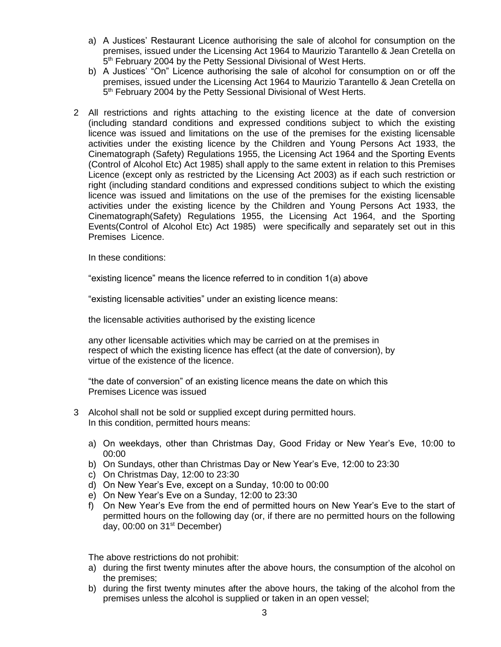- a) A Justices' Restaurant Licence authorising the sale of alcohol for consumption on the premises, issued under the Licensing Act 1964 to Maurizio Tarantello & Jean Cretella on 5<sup>th</sup> February 2004 by the Petty Sessional Divisional of West Herts.
- b) A Justices' "On" Licence authorising the sale of alcohol for consumption on or off the premises, issued under the Licensing Act 1964 to Maurizio Tarantello & Jean Cretella on 5<sup>th</sup> February 2004 by the Petty Sessional Divisional of West Herts.
- 2 All restrictions and rights attaching to the existing licence at the date of conversion (including standard conditions and expressed conditions subject to which the existing licence was issued and limitations on the use of the premises for the existing licensable activities under the existing licence by the Children and Young Persons Act 1933, the Cinematograph (Safety) Regulations 1955, the Licensing Act 1964 and the Sporting Events (Control of Alcohol Etc) Act 1985) shall apply to the same extent in relation to this Premises Licence (except only as restricted by the Licensing Act 2003) as if each such restriction or right (including standard conditions and expressed conditions subject to which the existing licence was issued and limitations on the use of the premises for the existing licensable activities under the existing licence by the Children and Young Persons Act 1933, the Cinematograph(Safety) Regulations 1955, the Licensing Act 1964, and the Sporting Events(Control of Alcohol Etc) Act 1985) were specifically and separately set out in this Premises Licence.

In these conditions:

"existing licence" means the licence referred to in condition 1(a) above

"existing licensable activities" under an existing licence means:

the licensable activities authorised by the existing licence

any other licensable activities which may be carried on at the premises in respect of which the existing licence has effect (at the date of conversion), by virtue of the existence of the licence.

"the date of conversion" of an existing licence means the date on which this Premises Licence was issued

- 3 Alcohol shall not be sold or supplied except during permitted hours. In this condition, permitted hours means:
	- a) On weekdays, other than Christmas Day, Good Friday or New Year's Eve, 10:00 to 00:00
	- b) On Sundays, other than Christmas Day or New Year's Eve, 12:00 to 23:30
	- c) On Christmas Day, 12:00 to 23:30
	- d) On New Year's Eve, except on a Sunday, 10:00 to 00:00
	- e) On New Year's Eve on a Sunday, 12:00 to 23:30
	- f) On New Year's Eve from the end of permitted hours on New Year's Eve to the start of permitted hours on the following day (or, if there are no permitted hours on the following day,  $00:00$  on  $31<sup>st</sup>$  December)

The above restrictions do not prohibit:

- a) during the first twenty minutes after the above hours, the consumption of the alcohol on the premises;
- b) during the first twenty minutes after the above hours, the taking of the alcohol from the premises unless the alcohol is supplied or taken in an open vessel;